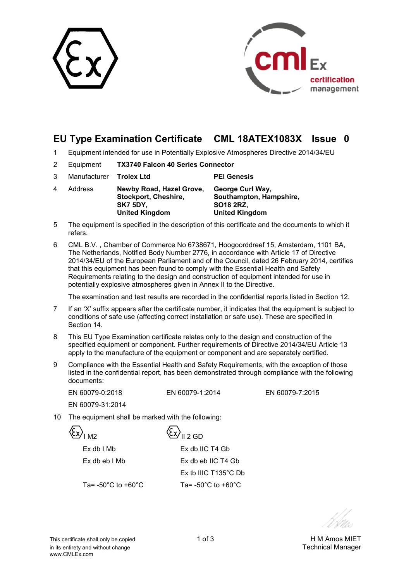



# **EU Type Examination Certificate CML 18ATEX1083X Issue 0**

- 1 Equipment intended for use in Potentially Explosive Atmospheres Directive 2014/34/EU
- 2 Equipment **TX3740 Falcon 40 Series Connector**
- 3 Manufacturer **Trolex Ltd PEI Genesis** 4 Address **Newby Road, Hazel Grove, Stockport, Cheshire, SK7 5DY, United Kingdom George Curl Way, Southampton, Hampshire, SO18 2RZ, United Kingdom**
- 5 The equipment is specified in the description of this certificate and the documents to which it refers.
- 6 CML B.V. , Chamber of Commerce No 6738671, Hoogoorddreef 15, Amsterdam, 1101 BA, The Netherlands, Notified Body Number 2776, in accordance with Article 17 of Directive 2014/34/EU of the European Parliament and of the Council, dated 26 February 2014, certifies that this equipment has been found to comply with the Essential Health and Safety Requirements relating to the design and construction of equipment intended for use in potentially explosive atmospheres given in Annex II to the Directive.

The examination and test results are recorded in the confidential reports listed in Section 12.

- 7 If an 'X' suffix appears after the certificate number, it indicates that the equipment is subject to conditions of safe use (affecting correct installation or safe use). These are specified in Section 14.
- 8 This EU Type Examination certificate relates only to the design and construction of the specified equipment or component. Further requirements of Directive 2014/34/EU Article 13 apply to the manufacture of the equipment or component and are separately certified.
- 9 Compliance with the Essential Health and Safety Requirements, with the exception of those listed in the confidential report, has been demonstrated through compliance with the following documents:

 EN 60079-0:2018 EN 60079-1:2014 EN 60079-7:2015 EN 60079-31:2014

10 The equipment shall be marked with the following:

 $\langle \xi x \rangle_{\parallel 2 \text{ GD}}$  Ex db I Mb Ex db IIC T4 Gb Ex db eb I Mb Ex db eb IIC T4 Gb Ex tb IIIC T135°C Db Ta=  $-50^{\circ}$ C to  $+60^{\circ}$ C Ta=  $-50^{\circ}$ C to  $+60^{\circ}$ C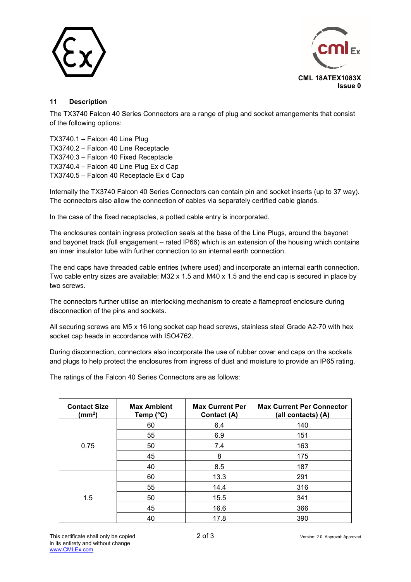



## **11 Description**

The TX3740 Falcon 40 Series Connectors are a range of plug and socket arrangements that consist of the following options:

TX3740.1 – Falcon 40 Line Plug TX3740.2 – Falcon 40 Line Receptacle TX3740.3 – Falcon 40 Fixed Receptacle TX3740.4 – Falcon 40 Line Plug Ex d Cap TX3740.5 – Falcon 40 Receptacle Ex d Cap

Internally the TX3740 Falcon 40 Series Connectors can contain pin and socket inserts (up to 37 way). The connectors also allow the connection of cables via separately certified cable glands.

In the case of the fixed receptacles, a potted cable entry is incorporated.

The enclosures contain ingress protection seals at the base of the Line Plugs, around the bayonet and bayonet track (full engagement – rated IP66) which is an extension of the housing which contains an inner insulator tube with further connection to an internal earth connection.

The end caps have threaded cable entries (where used) and incorporate an internal earth connection. Two cable entry sizes are available; M32 x 1.5 and M40 x 1.5 and the end cap is secured in place by two screws.

The connectors further utilise an interlocking mechanism to create a flameproof enclosure during disconnection of the pins and sockets.

All securing screws are M5 x 16 long socket cap head screws, stainless steel Grade A2-70 with hex socket cap heads in accordance with ISO4762.

During disconnection, connectors also incorporate the use of rubber cover end caps on the sockets and plugs to help protect the enclosures from ingress of dust and moisture to provide an IP65 rating.

The ratings of the Falcon 40 Series Connectors are as follows:

| <b>Contact Size</b><br>(mm <sup>2</sup> ) | <b>Max Ambient</b><br>Temp (°C) | <b>Max Current Per</b><br>Contact (A) | <b>Max Current Per Connector</b><br>(all contacts) (A) |
|-------------------------------------------|---------------------------------|---------------------------------------|--------------------------------------------------------|
| 0.75                                      | 60                              | 6.4                                   | 140                                                    |
|                                           | 55                              | 6.9                                   | 151                                                    |
|                                           | 50                              | 7.4                                   | 163                                                    |
|                                           | 45                              | 8                                     | 175                                                    |
|                                           | 40                              | 8.5                                   | 187                                                    |
|                                           | 60                              | 13.3                                  | 291                                                    |
| 1.5                                       | 55                              | 14.4                                  | 316                                                    |
|                                           | 50                              | 15.5                                  | 341                                                    |
|                                           | 45                              | 16.6                                  | 366                                                    |
|                                           | 40                              | 17.8                                  | 390                                                    |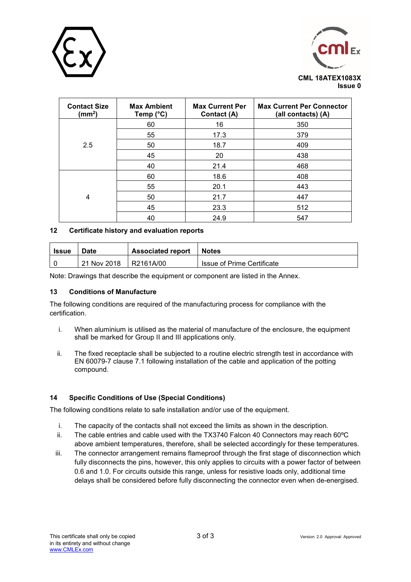



| <b>Contact Size</b><br>$\text{(mm}^2)$ | <b>Max Ambient</b><br>Temp (°C) | <b>Max Current Per</b><br>Contact (A) | <b>Max Current Per Connector</b><br>(all contacts) (A) |
|----------------------------------------|---------------------------------|---------------------------------------|--------------------------------------------------------|
|                                        | 60                              | 16                                    | 350                                                    |
|                                        | 55                              | 17.3                                  | 379                                                    |
| 2.5                                    | 50                              | 18.7                                  | 409                                                    |
|                                        | 45                              | 20                                    | 438                                                    |
|                                        | 40                              | 21.4                                  | 468                                                    |
|                                        | 60                              | 18.6                                  | 408                                                    |
| 4                                      | 55                              | 20.1                                  | 443                                                    |
|                                        | 50                              | 21.7                                  | 447                                                    |
|                                        | 45                              | 23.3                                  | 512                                                    |
|                                        | 40                              | 24.9                                  | 547                                                    |

### **12 Certificate history and evaluation reports**

| <b>Issue</b> | <b>Associated report</b><br><b>Date</b> |            | <b>Notes</b>               |
|--------------|-----------------------------------------|------------|----------------------------|
|              | 21 Nov 2018                             | IR2161A/00 | Issue of Prime Certificate |

Note: Drawings that describe the equipment or component are listed in the Annex.

#### **13 Conditions of Manufacture**

The following conditions are required of the manufacturing process for compliance with the certification.

- i. When aluminium is utilised as the material of manufacture of the enclosure, the equipment shall be marked for Group II and III applications only.
- ii. The fixed receptacle shall be subjected to a routine electric strength test in accordance with EN 60079-7 clause 7.1 following installation of the cable and application of the potting compound.

# **14 Specific Conditions of Use (Special Conditions)**

The following conditions relate to safe installation and/or use of the equipment.

- i. The capacity of the contacts shall not exceed the limits as shown in the description.
- ii. The cable entries and cable used with the TX3740 Falcon 40 Connectors may reach 60ºC above ambient temperatures, therefore, shall be selected accordingly for these temperatures.
- iii. The connector arrangement remains flameproof through the first stage of disconnection which fully disconnects the pins, however, this only applies to circuits with a power factor of between 0.6 and 1.0. For circuits outside this range, unless for resistive loads only, additional time delays shall be considered before fully disconnecting the connector even when de-energised.